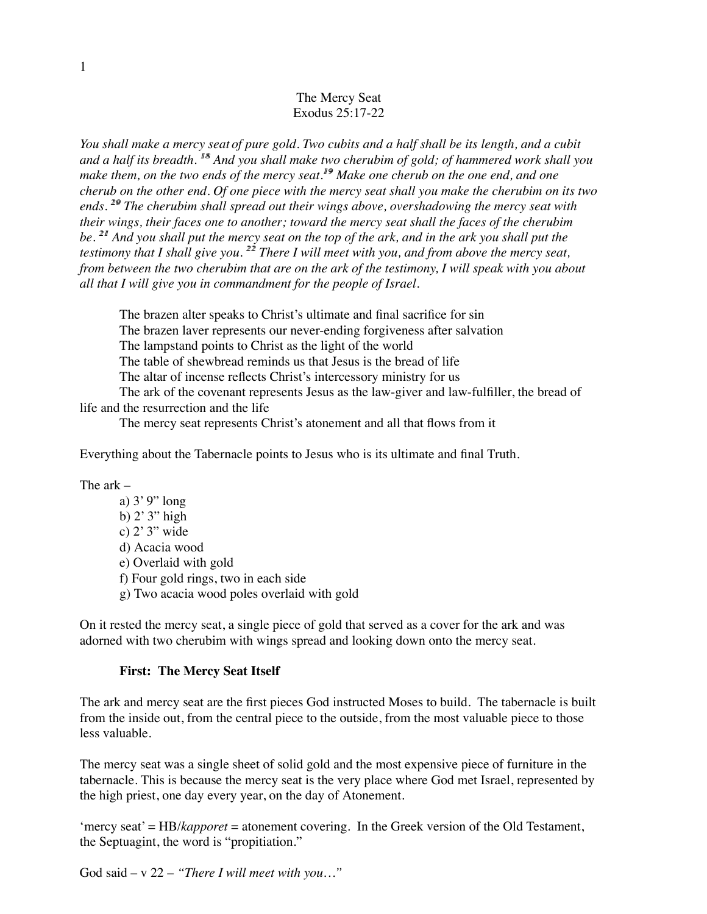### The Mercy Seat Exodus 25:17-22

*You shall make a mercy seat of pure gold. Two cubits and a half shall be its length, and a cubit and a half its breadth. 18 18 And you shall make two cherubim of gold; of hammered work shall you make them, on the two ends of the mercy seat.19 19 Make one cherub on the one end, and one cherub on the other end. Of one piece with the mercy seat shall you make the cherubim on its two ends. 20 20 The cherubim shall spread out their wings above, overshadowing the mercy seat with their wings, their faces one to another; toward the mercy seat shall the faces of the cherubim* be. <sup>21</sup> And you shall put the mercy seat on the top of the ark, and in the ark you shall put the testimony that I shall give you.<sup>22</sup> There I will meet with you, and from above the mercy seat, *from between the two cherubim that are on the ark of the testimony, I will speak with you about all that I will give you in commandment for the people of Israel.*

The brazen alter speaks to Christ's ultimate and final sacrifice for sin

The brazen laver represents our never-ending forgiveness after salvation

The lampstand points to Christ as the light of the world

The table of shewbread reminds us that Jesus is the bread of life

The altar of incense reflects Christ's intercessory ministry for us

The ark of the covenant represents Jesus as the law-giver and law-fulfiller, the bread of life and the resurrection and the life

The mercy seat represents Christ's atonement and all that flows from it

Everything about the Tabernacle points to Jesus who is its ultimate and final Truth.

The ark –

a) 3' 9" long b)  $2'$   $3'$  high c) 2' 3" wide d) Acacia wood e) Overlaid with gold f) Four gold rings, two in each side g) Two acacia wood poles overlaid with gold

On it rested the mercy seat, a single piece of gold that served as a cover for the ark and was adorned with two cherubim with wings spread and looking down onto the mercy seat.

#### **First: The Mercy Seat Itself**

The ark and mercy seat are the first pieces God instructed Moses to build. The tabernacle is built from the inside out, from the central piece to the outside, from the most valuable piece to those less valuable.

The mercy seat was a single sheet of solid gold and the most expensive piece of furniture in the tabernacle. This is because the mercy seat is the very place where God met Israel, represented by the high priest, one day every year, on the day of Atonement.

'mercy seat' = HB/*kapporet* = atonement covering. In the Greek version of the Old Testament, the Septuagint, the word is "propitiation."

God said – v 22 – *"There I will meet with you…"*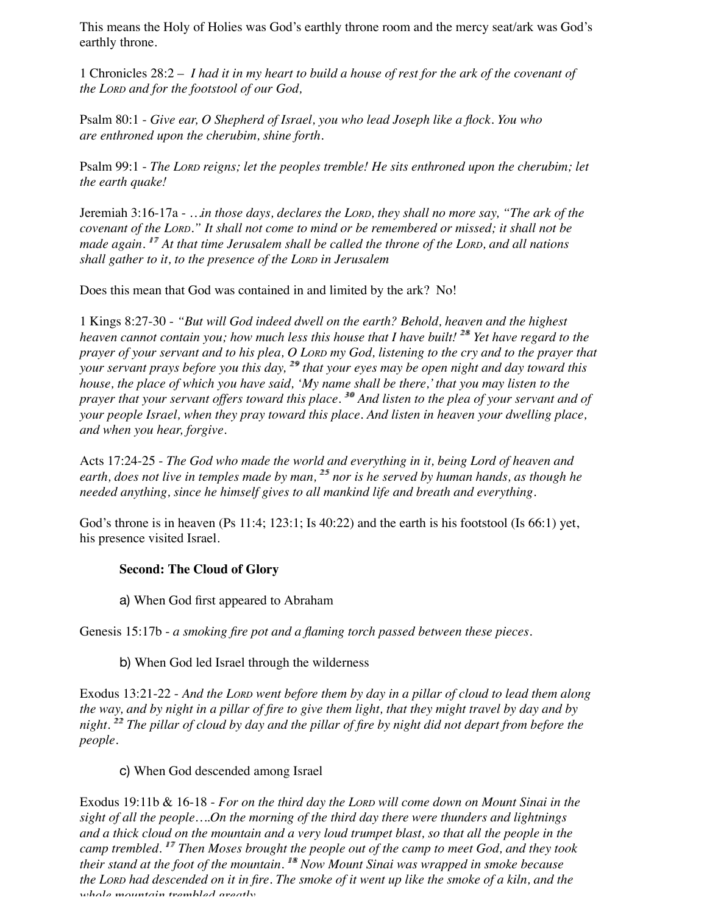This means the Holy of Holies was God's earthly throne room and the mercy seat/ark was God's earthly throne.

1 Chronicles 28:2 – *I had it in my heart to build a house of rest for the ark of the covenant of the LORD and for the footstool of our God,*

Psalm 80:1 - *Give ear, O Shepherd of Israel, you who lead Joseph like a flock. You who are enthroned upon the cherubim, shine forth.*

Psalm 99:1 - *The LORD reigns; let the peoples tremble! He sits enthroned upon the cherubim; let the earth quake!*

Jeremiah 3:16-17a - *…in those days, declares the LORD, they shall no more say, "The ark of the covenant of the LORD." It shall not come to mind or be remembered or missed; it shall not be made again.* <sup>17</sup> At that time Jerusalem shall be called the throne of the LORD, and all nations *shall gather to it, to the presence of the LORD in Jerusalem*

Does this mean that God was contained in and limited by the ark? No!

1 Kings 8:27-30 - *"But will God indeed dwell on the earth? Behold, heaven and the highest heaven cannot contain you; how much less this house that I have built!* <sup>28</sup> Yet have regard to the *prayer of your servant and to his plea, O LORD my God, listening to the cry and to the prayer that your servant prays before you this day,* <sup>29</sup> that your eyes may be open night and day toward this *house, the place of which you have said, 'My name shall be there,' that you may listen to the prayer that your servant offers toward this place.* <sup>30</sup> And listen to the plea of your servant and of *your people Israel, when they pray toward this place. And listen in heaven your dwelling place, and when you hear, forgive.*

Acts 17:24-25 - *The God who made the world and everything in it, being Lord of heaven and* earth, does not live in temples made by man, <sup>25</sup> nor is he served by human hands, as though he *needed anything, since he himself gives to all mankind life and breath and everything.*

God's throne is in heaven  $(Ps\ 11:4; 123:1; Is\ 40:22)$  and the earth is his footstool  $(Is\ 66:1)$  yet, his presence visited Israel.

## **Second: The Cloud of Glory**

a) When God first appeared to Abraham

Genesis 15:17b - *a smoking fire pot and a flaming torch passed between these pieces.*

b) When God led Israel through the wilderness

Exodus 13:21-22 - *And the LORD went before them by day in a pillar of cloud to lead them along the way, and by night in a pillar of fire to give them light, that they might travel by day and by night. 22 22 The pillar of cloud by day and the pillar of fire by night did not depart from before the people.*

# c) When God descended among Israel

Exodus 19:11b & 16-18 - *For on the third day the LORD will come down on Mount Sinai in the sight of all the people….On the morning of the third day there were thunders and lightnings and a thick cloud on the mountain and a very loud trumpet blast, so that all the people in the camp trembled. 17 17 Then Moses brought the people out of the camp to meet God, and they took their stand at the foot of the mountain. 18 18 Now Mount Sinai was wrapped in smoke because the LORD had descended on it in fire. The smoke of it went up like the smoke of a kiln, and the whole mountain trembled greatly.*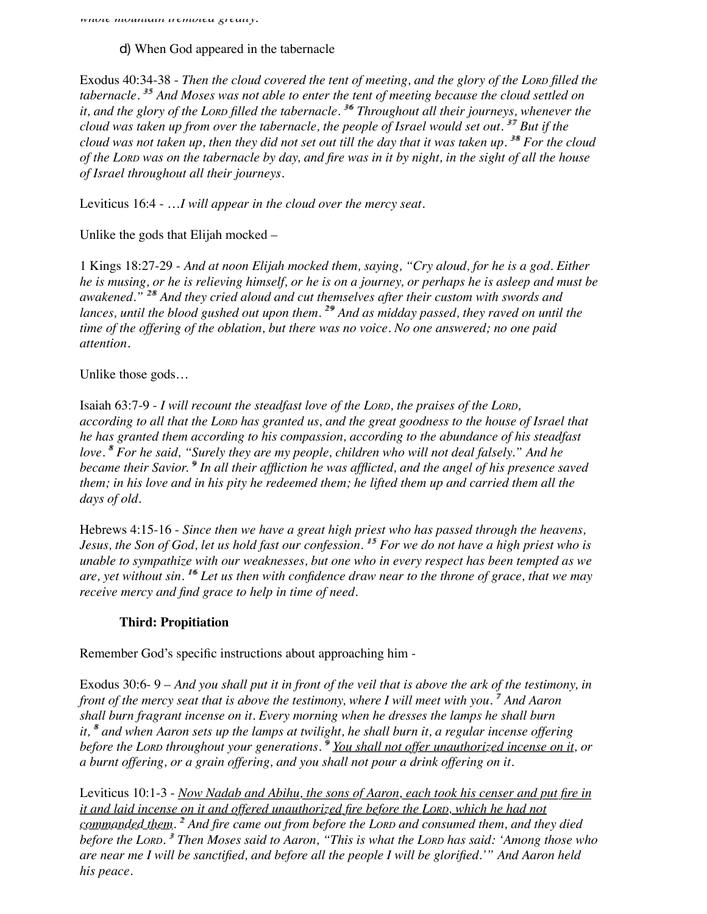*whole mountain trembled greatly.*

d) When God appeared in the tabernacle

Exodus 40:34-38 - *Then the cloud covered the tent of meeting, and the glory of the LORD filled the* tabernacle.<sup>35</sup> And Moses was not able to enter the tent of meeting because the cloud settled on *it, and the glory of the LORD filled the tabernacle. 36 36 Throughout all their journeys, whenever the cloud was taken up from over the tabernacle, the people of Israel would set out. 37 37 But if the cloud was not taken up, then they did not set out till the day that it was taken up.* <sup>38</sup> For the cloud *of the LORD was on the tabernacle by day, and fire was in it by night, in the sight of all the house of Israel throughout all their journeys.*

Leviticus 16:4 - …*I will appear in the cloud over the mercy seat.*

Unlike the gods that Elijah mocked –

1 Kings 18:27-29 - *And at noon Elijah mocked them, saying, "Cry aloud, for he is a god. Either he is musing, or he is relieving himself, or he is on a journey, or perhaps he is asleep and must be awakened." 28 28 And they cried aloud and cut themselves after their custom with swords and* lances, until the blood gushed out upon them.<sup>29</sup> And as midday passed, they raved on until the *time of the offering of the oblation, but there was no voice. No one answered; no one paid attention.*

Unlike those gods…

Isaiah 63:7-9 - *I will recount the steadfast love of the LORD, the praises of the LORD, according to all that the LORD has granted us, and the great goodness to the house of Israel that he has granted them according to his compassion, according to the abundance of his steadfast love. 8 8 For he said, "Surely they are my people, children who will not deal falsely." And he became their Savior.* <sup>9</sup> In all their affliction he was afflicted, and the angel of his presence saved *them; in his love and in his pity he redeemed them; he lifted them up and carried them all the days of old.*

Hebrews 4:15-16 - *Since then we have a great high priest who has passed through the heavens, Jesus, the Son of God, let us hold fast our confession.* <sup>15</sup> For we do not have a high priest who is *unable to sympathize with our weaknesses, but one who in every respect has been tempted as we are, yet without sin. 16 16 Let us then with confidence draw near to the throne of grace, that we may receive mercy and find grace to help in time of need.*

## **Third: Propitiation**

Remember God's specific instructions about approaching him -

Exodus 30:6- 9 – *And you shall put it in front of the veil that is above the ark of the testimony, in front of the mercy seat that is above the testimony, where I will meet with you.* <sup>*7</sup> And Aaron*</sup> *shall burn fragrant incense on it. Every morning when he dresses the lamps he shall burn it, 8 8 and when Aaron sets up the lamps at twilight, he shall burn it, a regular incense offering before the Lorp throughout your generations. <sup>9</sup> You shall not offer unauthorized incense on it, or a burnt offering, or a grain offering, and you shall not pour a drink offering on it.*

Leviticus 10:1-3 - *Now Nadab and Abihu, the sons of Aaron, each took his censer and put fire in it and laid incense on it and offered unauthorized fire before the LORD, which he had not commanded them. 2 2 And fire came out from before the LORD and consumed them, and they died before the LORD. 3 3 Then Moses said to Aaron, "This is what the LORD has said: 'Among those who are near me I will be sanctified, and before all the people I will be glorified.'" And Aaron held his peace.*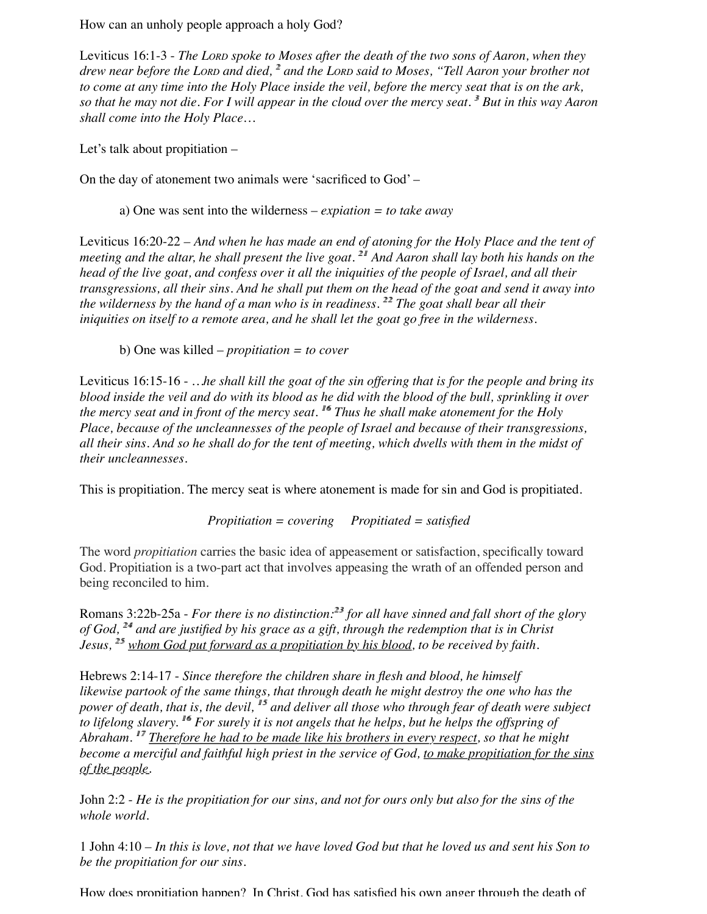How can an unholy people approach a holy God?

Leviticus 16:1-3 - *The LORD spoke to Moses after the death of the two sons of Aaron, when they drew near before the LORD and died, 2 2 and the LORD said to Moses, "Tell Aaron your brother not to come at any time into the Holy Place inside the veil, before the mercy seat that is on the ark, so that he may not die. For I will appear in the cloud over the mercy seat. 3 3 But in this way Aaron shall come into the Holy Place…*

Let's talk about propitiation –

On the day of atonement two animals were 'sacrificed to God' –

a) One was sent into the wilderness – *expiation = to take away*

Leviticus 16:20-22 *– And when he has made an end of atoning for the Holy Place and the tent of meeting and the altar, he shall present the live goat.* <sup>21</sup> And Aaron shall lay both his hands on the *head of the live goat, and confess over it all the iniquities of the people of Israel, and all their transgressions, all their sins. And he shall put them on the head of the goat and send it away into the wilderness by the hand of a man who is in readiness.* <sup>22</sup> The goat shall bear all their *iniquities on itself to a remote area, and he shall let the goat go free in the wilderness.*

b) One was killed – *propitiation = to cover*

Leviticus 16:15-16 - *…he shall kill the goat of the sin offering that is for the people and bring its blood inside the veil and do with its blood as he did with the blood of the bull, sprinkling it over the mercy seat and in front of the mercy seat. 16 16 Thus he shall make atonement for the Holy Place, because of the uncleannesses of the people of Israel and because of their transgressions, all their sins. And so he shall do for the tent of meeting, which dwells with them in the midst of their uncleannesses.*

This is propitiation. The mercy seat is where atonement is made for sin and God is propitiated.

*Propitiation = covering Propitiated = satisfied*

The word *propitiation* carries the basic idea of appeasement or satisfaction, specifically toward God. Propitiation is a two-part act that involves appeasing the wrath of an offended person and being reconciled to him.

Romans 3:22b-25a - *For there is no distinction:*<sup>23</sup> for all have sinned and fall short of the glory *of God, 24 24 and are justified by his grace as a gift, through the redemption that is in Christ Jesus,* <sup>25</sup> whom God put forward as a propitiation by his blood, to be received by faith.

Hebrews 2:14-17 - *Since therefore the children share in flesh and blood, he himself likewise partook of the same things, that through death he might destroy the one who has the power of death, that is, the devil,* <sup>15</sup> and deliver all those who through fear of death were subject *to lifelong slavery. 16 16 For surely it is not angels that he helps, but he helps the offspring of Abraham.* <sup>17</sup> Therefore he had to be made like his brothers in every respect, so that he might *become a merciful and faithful high priest in the service of God, to make propitiation for the sins of the people.*

John 2:2 - *He is the propitiation for our sins, and not for ours only but also for the sins of the whole world.*

1 John 4:10 *– In this is love, not that we have loved God but that he loved us and sent his Son to be the propitiation for our sins.*

How does propitiation happen? In Christ, God has satisfied his own anger through the death of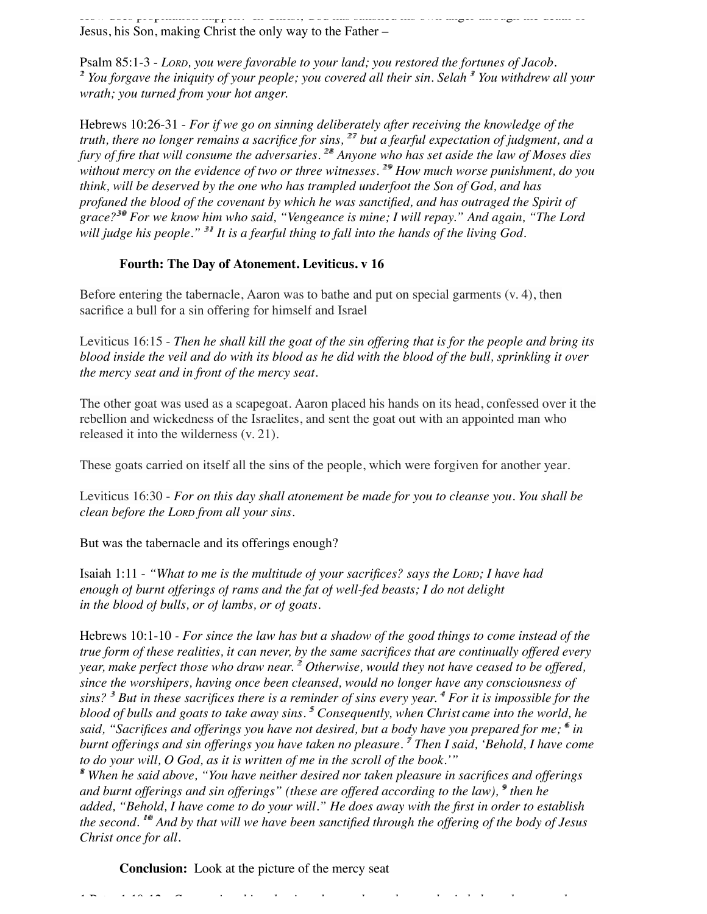How does propitiation happen? In Christ, God has satisfied his own anger through the death of Jesus, his Son, making Christ the only way to the Father –

Psalm 85:1-3 - *LORD, you were favorable to your land; you restored the fortunes of Jacob. 2 2 You forgave the iniquity of your people; you covered all their sin. Selah 3 3 You withdrew all your wrath; you turned from your hot anger.*

Hebrews 10:26-31 - *For if we go on sinning deliberately after receiving the knowledge of the truth, there no longer remains a sacrifice for sins,*  $27$  but a fearful expectation of judgment, and a *fury of fire that will consume the adversaries.* <sup>28</sup> Anyone who has set aside the law of Moses dies *without mercy on the evidence of two or three witnesses.* <sup>29</sup> How much worse punishment, do you *think, will be deserved by the one who has trampled underfoot the Son of God, and has profaned the blood of the covenant by which he was sanctified, and has outraged the Spirit of grace?30 30 For we know him who said, "Vengeance is mine; I will repay." And again, "The Lord* will judge his people." <sup>31</sup> It is a fearful thing to fall into the hands of the living God.

## **Fourth: The Day of Atonement. Leviticus. v 16**

Before entering the tabernacle, Aaron was to bathe and put on special garments (v. 4), then sacrifice a bull for a sin offering for himself and Israel

Leviticus 16:15 - *Then he shall kill the goat of the sin offering that is for the people and bring its blood inside the veil and do with its blood as he did with the blood of the bull, sprinkling it over the mercy seat and in front of the mercy seat.*

The other goat was used as a scapegoat. Aaron placed his hands on its head, confessed over it the rebellion and wickedness of the Israelites, and sent the goat out with an appointed man who released it into the wilderness (v. 21).

These goats carried on itself all the sins of the people, which were forgiven for another year.

Leviticus 16:30 - *For on this day shall atonement be made for you to cleanse you. You shall be clean before the LORD from all your sins.* 

But was the tabernacle and its offerings enough?

Isaiah 1:11 - *"What to me is the multitude of your sacrifices? says the LORD; I have had enough of burnt offerings of rams and the fat of well-fed beasts; I do not delight in the blood of bulls, or of lambs, or of goats.*

Hebrews 10:1-10 *- For since the law has but a shadow of the good things to come instead of the true form of these realities, it can never, by the same sacrifices that are continually offered every year, make perfect those who draw near. 2 2 Otherwise, would they not have ceased to be offered, since the worshipers, having once been cleansed, would no longer have any consciousness of sins? 3 3 But in these sacrifices there is a reminder of sins every year. 4 4 For it is impossible for the blood of bulls and goats to take away sins. 5 5 Consequently, when Christ came into the world, he said, "Sacrifices and offerings you have not desired, but a body have you prepared for me; 6 6 in burnt offerings and sin offerings you have taken no pleasure. 7 7 Then I said, 'Behold, I have come to do your will, O God, as it is written of me in the scroll of the book.'"*

*8 8 When he said above, "You have neither desired nor taken pleasure in sacrifices and offerings and burnt offerings and sin offerings" (these are offered according to the law),*  $\mathcal{P}$  then he *added, "Behold, I have come to do your will." He does away with the first in order to establish the second. 10 10 And by that will we have been sanctified through the offering of the body of Jesus Christ once for all.*

**Conclusion:** Look at the picture of the mercy seat

1 Peter 1:10-12 **-** *Concerning this salvation, the prophets who prophesied about the grace that*